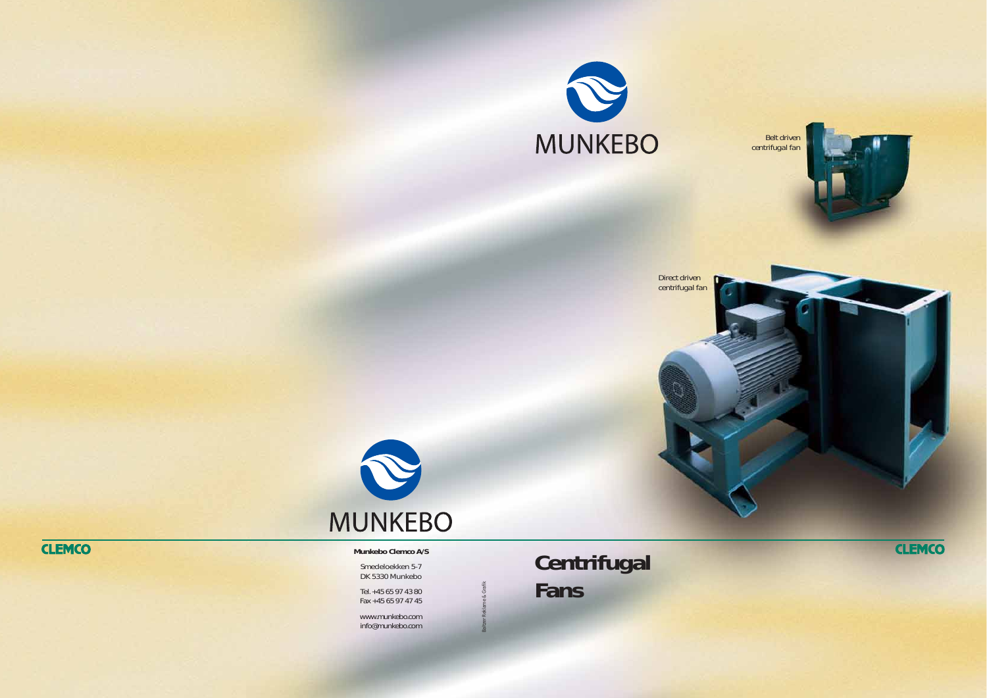Baltzer Reklame & Grafik

*Belt driven centrifugal fan*





*Direct driven centrifugal fan*



## **Centrifugal Fans**

**CLEMCO** 

## **Munkebo Clemco A/S**

Smedeloekken 5-7 DK 5330 Munkebo

Tel. +45 65 97 43 80 Fax +45 65 97 47 45

www.munkebo.com info@munkebo.com